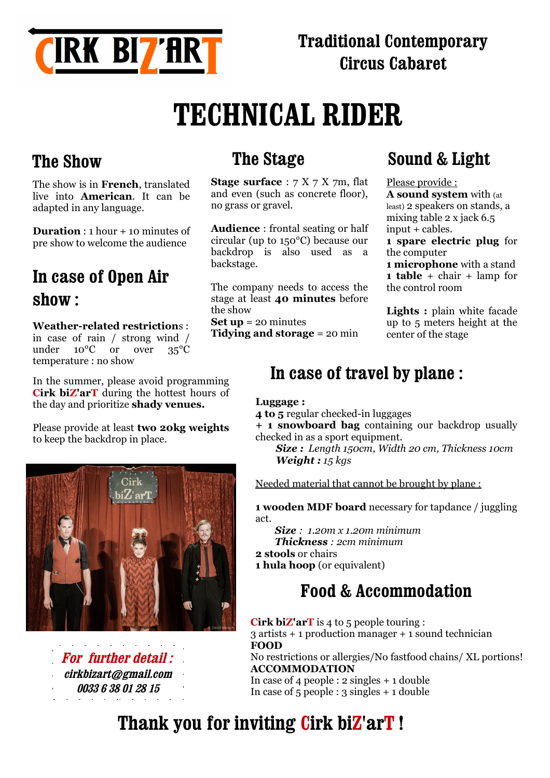

# **TECHNICAL RIDER**

## **The Show**

The show is in **French**, translated live into **American**. It can be adapted in any language.

**Duration** : 1 hour + 10 minutes of pre show to welcome the audience

## **In case of Open Air show :**

#### **Weather-related restriction**s :

in case of rain / strong wind / under 10°C or over 35°C temperature : no show

In the summer, please avoid programming **Cirk biZ'arT** during the hottest hours of the day and prioritize **shady venues.**

Please provide at least **two 20kg weights** to keep the backdrop in place.



and the contract of the **For further detail : [cirkbizart@gmail.com](mailto:cirkbizart@gmail.com) 0033 6 38 01 28 15**

## **The Stage**

**Stage surface** : 7 X 7 X 7m, flat and even (such as concrete floor), no grass or gravel.

**Audience** : frontal seating or half circular (up to 150°C) because our backdrop is also used as a backstage.

The company needs to access the stage at least **40 minutes** before the show

**Set up** = 20 minutes **Tidying and storage** = 20 min

## **Sound & Light**

#### Please provide :

**A sound system** with (at least) 2 speakers on stands, a mixing table 2 x jack 6.5 input + cables.

**1 spare electric plug** for the computer

**1 microphone** with a stand **1 table** + chair + lamp for the control room

**Lights :** plain white facade up to 5 meters height at the center of the stage

### **In case of travel by plane :**

#### **Luggage :**

**4 to 5** regular checked-in luggages

**+ 1 snowboard bag** containing our backdrop usually checked in as a sport equipment.

 *Size : Length 150cm, Width 20 cm, Thickness 10cm Weight : 15 kgs*

Needed material that cannot be brought by plane :

**1 wooden MDF board** necessary for tapdance / juggling act.

 *Size : 1.20m x 1.20m minimum Thickness : 2cm minimum* **2 stools** or chairs **1 hula hoop** (or equivalent)

## **Food & Accommodation**

**Cirk biZ'arT** is 4 to 5 people touring : 3 artists + 1 production manager + 1 sound technician **FOOD** No restrictions or allergies/No fastfood chains/ XL portions! **ACCOMMODATION** In case of 4 people : 2 singles + 1 double

In case of 5 people : 3 singles + 1 double

# **Thank you for inviting Cirk biZ'arT !**